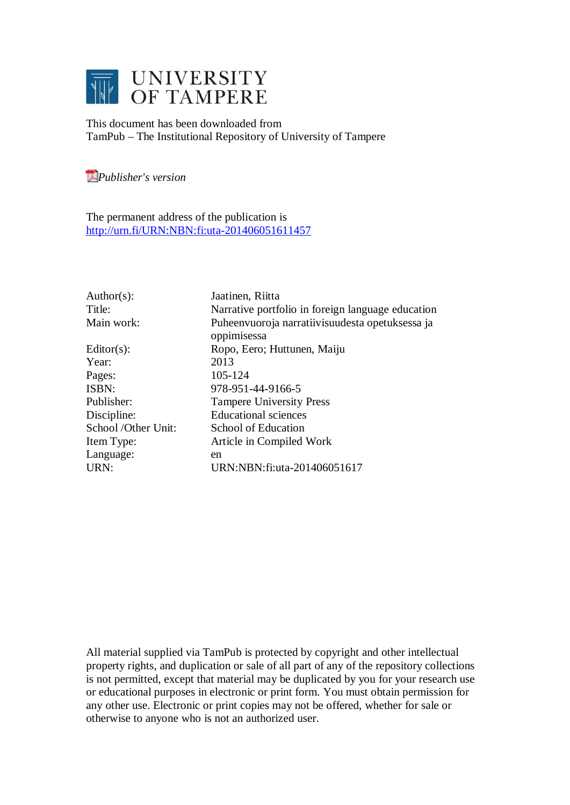

This document has been downloaded from TamPub – The Institutional Repository of University of Tampere

*[P](http://tampub.uta.fi/english/haekokoversio.php?id=1007)ublisher's version* 

The permanent address of the publication is <http://urn.fi/URN:NBN:fi:uta-201406051611457>

| Author(s):          | Jaatinen, Riitta                                  |
|---------------------|---------------------------------------------------|
| Title:              | Narrative portfolio in foreign language education |
| Main work:          | Puheenvuoroja narratiivisuudesta opetuksessa ja   |
|                     | oppimisessa                                       |
| Editor $(s)$ :      | Ropo, Eero; Huttunen, Maiju                       |
| Year:               | 2013                                              |
| Pages:              | 105-124                                           |
| ISBN:               | 978-951-44-9166-5                                 |
| Publisher:          | <b>Tampere University Press</b>                   |
| Discipline:         | <b>Educational sciences</b>                       |
| School /Other Unit: | School of Education                               |
| Item Type:          | Article in Compiled Work                          |
| Language:           | en                                                |
| URN:                | URN:NBN:fi:uta-201406051617                       |
|                     |                                                   |

All material supplied via TamPub is protected by copyright and other intellectual property rights, and duplication or sale of all part of any of the repository collections is not permitted, except that material may be duplicated by you for your research use or educational purposes in electronic or print form. You must obtain permission for any other use. Electronic or print copies may not be offered, whether for sale or otherwise to anyone who is not an authorized user.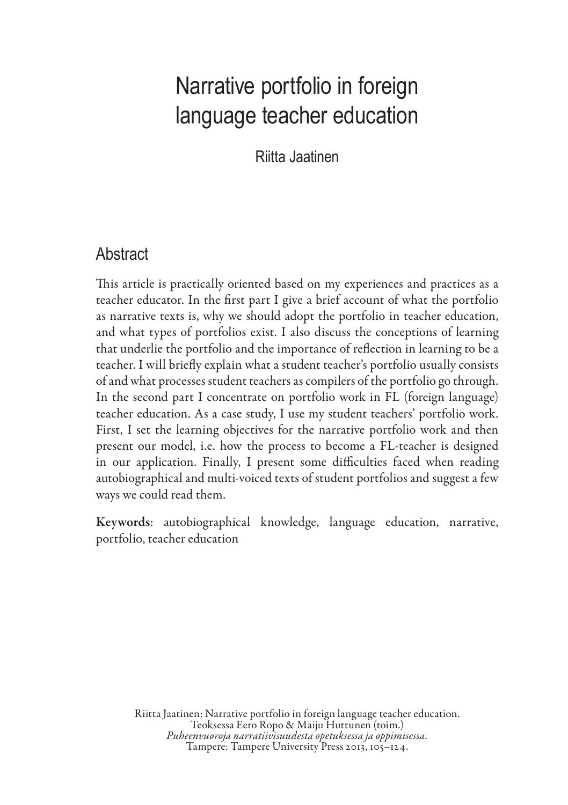Riitta Jaatinen

### **Abstract**

This article is practically oriented based on my experiences and practices as a teacher educator. In the first part I give a brief account of what the portfolio as narrative texts is, why we should adopt the portfolio in teacher education, and what types of portfolios exist. I also discuss the conceptions of learning that underlie the portfolio and the importance of reflection in learning to be a teacher. I will briefly explain what a student teacher's portfolio usually consists of and what processes student teachers as compilers of the portfolio go through. In the second part I concentrate on portfolio work in FL (foreign language) teacher education. As a case study, I use my student teachers' portfolio work. First, I set the learning objectives for the narrative portfolio work and then present our model, i.e. how the process to become a FL-teacher is designed in our application. Finally, I present some difficulties faced when reading autobiographical and multi-voiced texts of student portfolios and suggest a few ways we could read them.

Keywords: autobiographical knowledge, language education, narrative, portfolio, teacher education

Riitta Jaatinen: Narrative portfolio in foreign language teacher education.<br>Teoksessa Eero Ropo & Maiju Huttunen (toim.)<br>Pubeenvuoroja narratiivisuudesta opetuksessa ja oppimisessa.<br>Tampere: Tampere University Press 2013,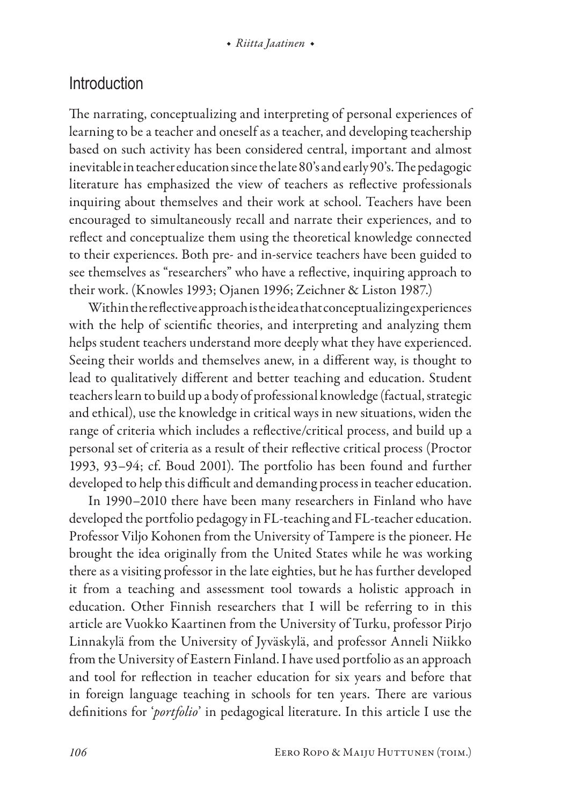### Introduction

The narrating, conceptualizing and interpreting of personal experiences of learning to be a teacher and oneself as a teacher, and developing teachership based on such activity has been considered central, important and almost inevitable in teacher education since the late 80's and early 90's. The pedagogic literature has emphasized the view of teachers as reflective professionals inquiring about themselves and their work at school. Teachers have been encouraged to simultaneously recall and narrate their experiences, and to reflect and conceptualize them using the theoretical knowledge connected to their experiences. Both pre- and in-service teachers have been guided to see themselves as "researchers" who have a reflective, inquiring approach to their work. (Knowles 1993; Ojanen 1996; Zeichner & Liston 1987.)

Within the reflective approach is the idea that conceptualizing experiences with the help of scientific theories, and interpreting and analyzing them helps student teachers understand more deeply what they have experienced. Seeing their worlds and themselves anew, in a different way, is thought to lead to qualitatively different and better teaching and education. Student teachers learn to build up a body of professional knowledge (factual, strategic and ethical), use the knowledge in critical ways in new situations, widen the range of criteria which includes a reflective/critical process, and build up a personal set of criteria as a result of their reflective critical process (Proctor 1993, 93–94; cf. Boud 2001). The portfolio has been found and further developed to help this difficult and demanding process in teacher education.

In 1990–2010 there have been many researchers in Finland who have developed the portfolio pedagogy in FL-teaching and FL-teacher education. Professor Viljo Kohonen from the University of Tampere is the pioneer. He brought the idea originally from the United States while he was working there as a visiting professor in the late eighties, but he has further developed it from a teaching and assessment tool towards a holistic approach in education. Other Finnish researchers that I will be referring to in this article are Vuokko Kaartinen from the University of Turku, professor Pirjo Linnakylä from the University of Jyväskylä, and professor Anneli Niikko from the University of Eastern Finland. I have used portfolio as an approach and tool for reflection in teacher education for six years and before that in foreign language teaching in schools for ten years. There are various definitions for '*portfolio*' in pedagogical literature. In this article I use the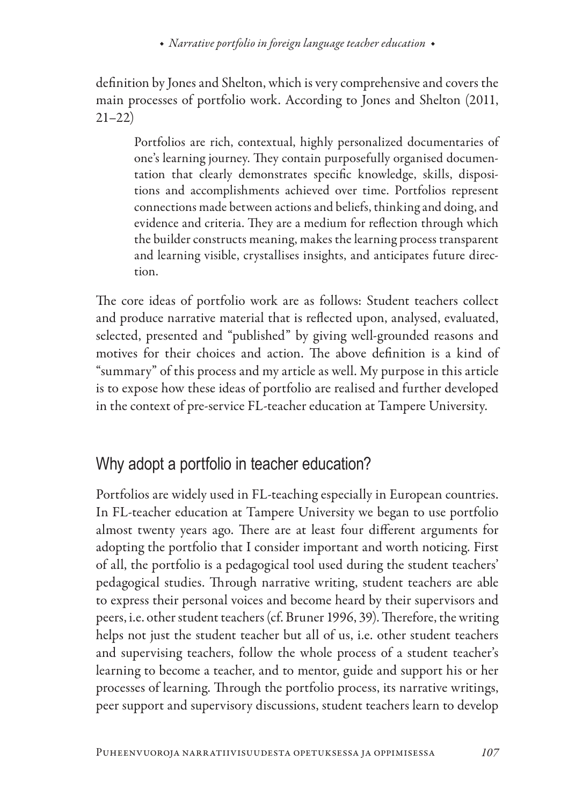definition by Jones and Shelton, which is very comprehensive and covers the main processes of portfolio work. According to Jones and Shelton (2011, 21–22)

Portfolios are rich, contextual, highly personalized documentaries of one's learning journey. They contain purposefully organised documentation that clearly demonstrates specific knowledge, skills, dispositions and accomplishments achieved over time. Portfolios represent connections made between actions and beliefs, thinking and doing, and evidence and criteria. They are a medium for reflection through which the builder constructs meaning, makes the learning process transparent and learning visible, crystallises insights, and anticipates future direction.

The core ideas of portfolio work are as follows: Student teachers collect and produce narrative material that is reflected upon, analysed, evaluated, selected, presented and "published" by giving well-grounded reasons and motives for their choices and action. The above definition is a kind of "summary" of this process and my article as well. My purpose in this article is to expose how these ideas of portfolio are realised and further developed in the context of pre-service FL-teacher education at Tampere University.

# Why adopt a portfolio in teacher education?

Portfolios are widely used in FL-teaching especially in European countries. In FL-teacher education at Tampere University we began to use portfolio almost twenty years ago. There are at least four different arguments for adopting the portfolio that I consider important and worth noticing. First of all, the portfolio is a pedagogical tool used during the student teachers' pedagogical studies. Through narrative writing, student teachers are able to express their personal voices and become heard by their supervisors and peers, i.e. other student teachers (cf. Bruner 1996, 39). Therefore, the writing helps not just the student teacher but all of us, i.e. other student teachers and supervising teachers, follow the whole process of a student teacher's learning to become a teacher, and to mentor, guide and support his or her processes of learning. Through the portfolio process, its narrative writings, peer support and supervisory discussions, student teachers learn to develop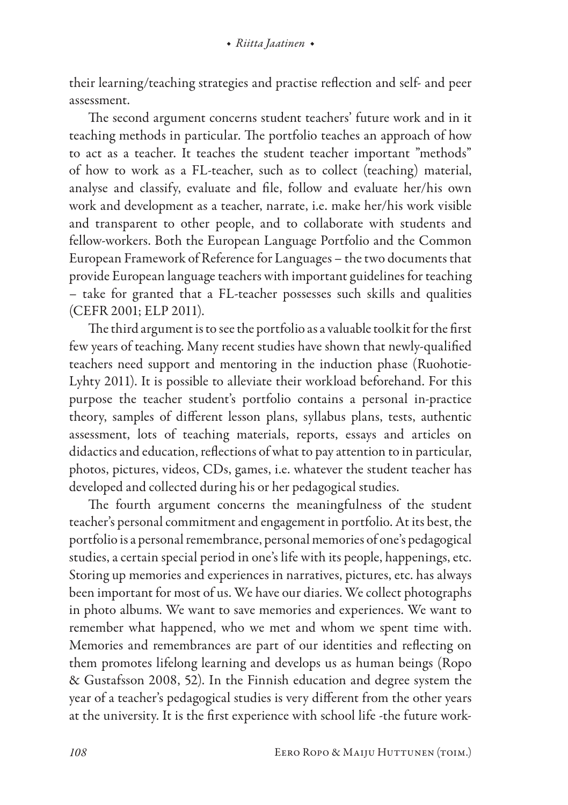their learning/teaching strategies and practise reflection and self- and peer assessment.

The second argument concerns student teachers' future work and in it teaching methods in particular. The portfolio teaches an approach of how to act as a teacher. It teaches the student teacher important "methods" of how to work as a FL-teacher, such as to collect (teaching) material, analyse and classify, evaluate and file, follow and evaluate her/his own work and development as a teacher, narrate, i.e. make her/his work visible and transparent to other people, and to collaborate with students and fellow-workers. Both the European Language Portfolio and the Common European Framework of Reference for Languages – the two documents that provide European language teachers with important guidelines for teaching – take for granted that a FL-teacher possesses such skills and qualities (CEFR 2001; ELP 2011).

The third argument is to see the portfolio as a valuable toolkit for the first few years of teaching. Many recent studies have shown that newly-qualified teachers need support and mentoring in the induction phase (Ruohotie-Lyhty 2011). It is possible to alleviate their workload beforehand. For this purpose the teacher student's portfolio contains a personal in-practice theory, samples of different lesson plans, syllabus plans, tests, authentic assessment, lots of teaching materials, reports, essays and articles on didactics and education, reflections of what to pay attention to in particular, photos, pictures, videos, CDs, games, i.e. whatever the student teacher has developed and collected during his or her pedagogical studies.

The fourth argument concerns the meaningfulness of the student teacher's personal commitment and engagement in portfolio. At its best, the portfolio is a personal remembrance, personal memories of one's pedagogical studies, a certain special period in one's life with its people, happenings, etc. Storing up memories and experiences in narratives, pictures, etc. has always been important for most of us. We have our diaries. We collect photographs in photo albums. We want to save memories and experiences. We want to remember what happened, who we met and whom we spent time with. Memories and remembrances are part of our identities and reflecting on them promotes lifelong learning and develops us as human beings (Ropo & Gustafsson 2008, 52). In the Finnish education and degree system the year of a teacher's pedagogical studies is very different from the other years at the university. It is the first experience with school life -the future work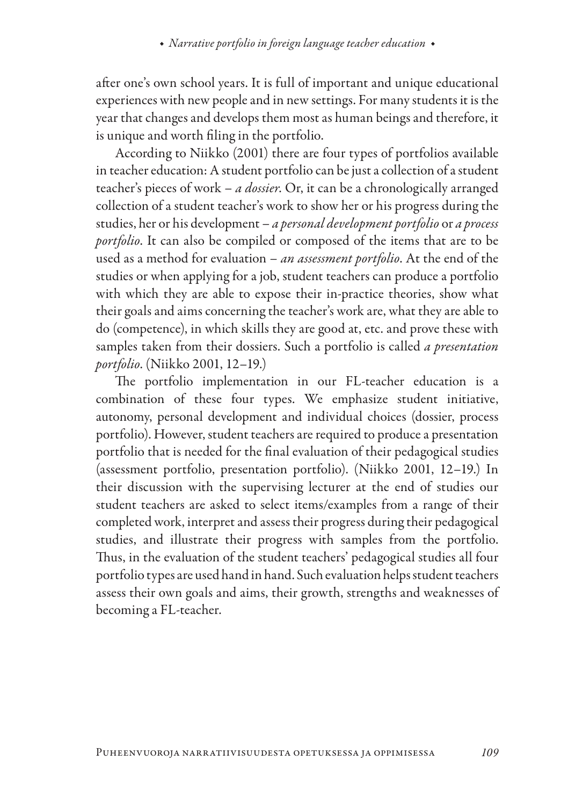after one's own school years. It is full of important and unique educational experiences with new people and in new settings. For many students it is the year that changes and develops them most as human beings and therefore, it is unique and worth filing in the portfolio.

According to Niikko (2001) there are four types of portfolios available in teacher education: A student portfolio can be just a collection of a student teacher's pieces of work – *a dossier*. Or, it can be a chronologically arranged collection of a student teacher's work to show her or his progress during the studies, her or his development – *a personal development portfolio* or *a process portfolio*. It can also be compiled or composed of the items that are to be used as a method for evaluation – *an assessment portfolio*. At the end of the studies or when applying for a job, student teachers can produce a portfolio with which they are able to expose their in-practice theories, show what their goals and aims concerning the teacher's work are, what they are able to do (competence), in which skills they are good at, etc. and prove these with samples taken from their dossiers. Such a portfolio is called *a presentation portfolio*. (Niikko 2001, 12–19.)

The portfolio implementation in our FL-teacher education is a combination of these four types. We emphasize student initiative, autonomy, personal development and individual choices (dossier, process portfolio). However, student teachers are required to produce a presentation portfolio that is needed for the final evaluation of their pedagogical studies (assessment portfolio, presentation portfolio). (Niikko 2001, 12–19.) In their discussion with the supervising lecturer at the end of studies our student teachers are asked to select items/examples from a range of their completed work, interpret and assess their progress during their pedagogical studies, and illustrate their progress with samples from the portfolio. Thus, in the evaluation of the student teachers' pedagogical studies all four portfolio types are used hand in hand. Such evaluation helps student teachers assess their own goals and aims, their growth, strengths and weaknesses of becoming a FL-teacher.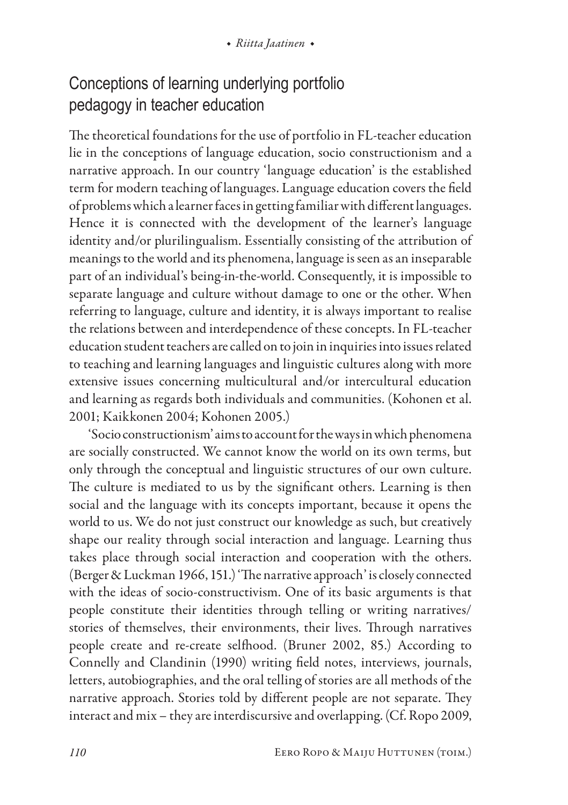# Conceptions of learning underlying portfolio pedagogy in teacher education

The theoretical foundations for the use of portfolio in FL-teacher education lie in the conceptions of language education, socio constructionism and a narrative approach. In our country 'language education' is the established term for modern teaching of languages. Language education covers the field of problems which a learner faces in getting familiar with different languages. Hence it is connected with the development of the learner's language identity and/or plurilingualism. Essentially consisting of the attribution of meanings to the world and its phenomena, language is seen as an inseparable part of an individual's being-in-the-world. Consequently, it is impossible to separate language and culture without damage to one or the other. When referring to language, culture and identity, it is always important to realise the relations between and interdependence of these concepts. In FL-teacher education student teachers are called on to join in inquiries into issues related to teaching and learning languages and linguistic cultures along with more extensive issues concerning multicultural and/or intercultural education and learning as regards both individuals and communities. (Kohonen et al. 2001; Kaikkonen 2004; Kohonen 2005.)

'Socio constructionism' aims to account for the ways in which phenomena are socially constructed. We cannot know the world on its own terms, but only through the conceptual and linguistic structures of our own culture. The culture is mediated to us by the significant others. Learning is then social and the language with its concepts important, because it opens the world to us. We do not just construct our knowledge as such, but creatively shape our reality through social interaction and language. Learning thus takes place through social interaction and cooperation with the others. (Berger & Luckman 1966, 151.) 'The narrative approach' is closely connected with the ideas of socio-constructivism. One of its basic arguments is that people constitute their identities through telling or writing narratives/ stories of themselves, their environments, their lives. Through narratives people create and re-create selfhood. (Bruner 2002, 85.) According to Connelly and Clandinin (1990) writing field notes, interviews, journals, letters, autobiographies, and the oral telling of stories are all methods of the narrative approach. Stories told by different people are not separate. They interact and mix – they are interdiscursive and overlapping. (Cf. Ropo 2009,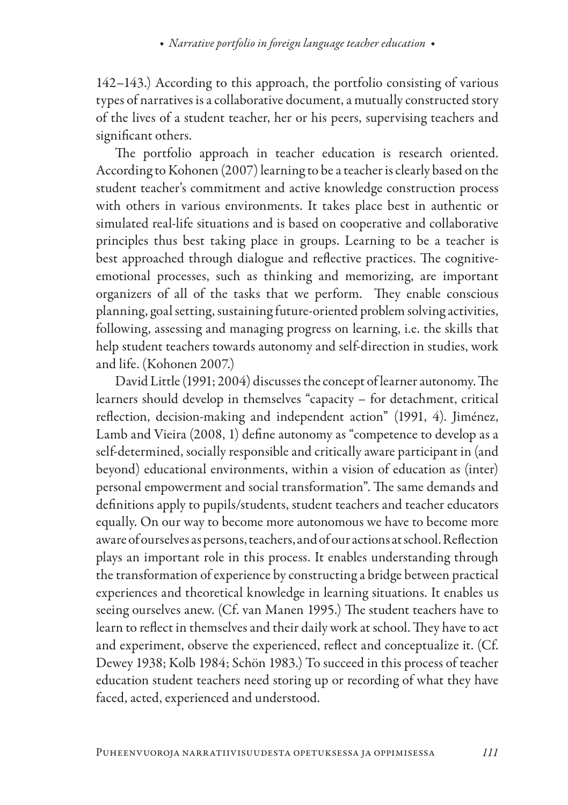142–143.) According to this approach, the portfolio consisting of various types of narratives is a collaborative document, a mutually constructed story of the lives of a student teacher, her or his peers, supervising teachers and significant others.

The portfolio approach in teacher education is research oriented. According to Kohonen (2007) learning to be a teacher is clearly based on the student teacher's commitment and active knowledge construction process with others in various environments. It takes place best in authentic or simulated real-life situations and is based on cooperative and collaborative principles thus best taking place in groups. Learning to be a teacher is best approached through dialogue and reflective practices. The cognitiveemotional processes, such as thinking and memorizing, are important organizers of all of the tasks that we perform. They enable conscious planning, goal setting, sustaining future-oriented problem solving activities, following, assessing and managing progress on learning, i.e. the skills that help student teachers towards autonomy and self-direction in studies, work and life. (Kohonen 2007.)

David Little (1991; 2004) discusses the concept of learner autonomy. The learners should develop in themselves "capacity – for detachment, critical reflection, decision-making and independent action" (1991, 4). Jiménez, Lamb and Vieira (2008, 1) define autonomy as "competence to develop as a self-determined, socially responsible and critically aware participant in (and beyond) educational environments, within a vision of education as (inter) personal empowerment and social transformation". The same demands and definitions apply to pupils/students, student teachers and teacher educators equally. On our way to become more autonomous we have to become more aware of ourselves as persons, teachers, and of our actions at school. Reflection plays an important role in this process. It enables understanding through the transformation of experience by constructing a bridge between practical experiences and theoretical knowledge in learning situations. It enables us seeing ourselves anew. (Cf. van Manen 1995.) The student teachers have to learn to reflect in themselves and their daily work at school. They have to act and experiment, observe the experienced, reflect and conceptualize it. (Cf. Dewey 1938; Kolb 1984; Schön 1983.) To succeed in this process of teacher education student teachers need storing up or recording of what they have faced, acted, experienced and understood.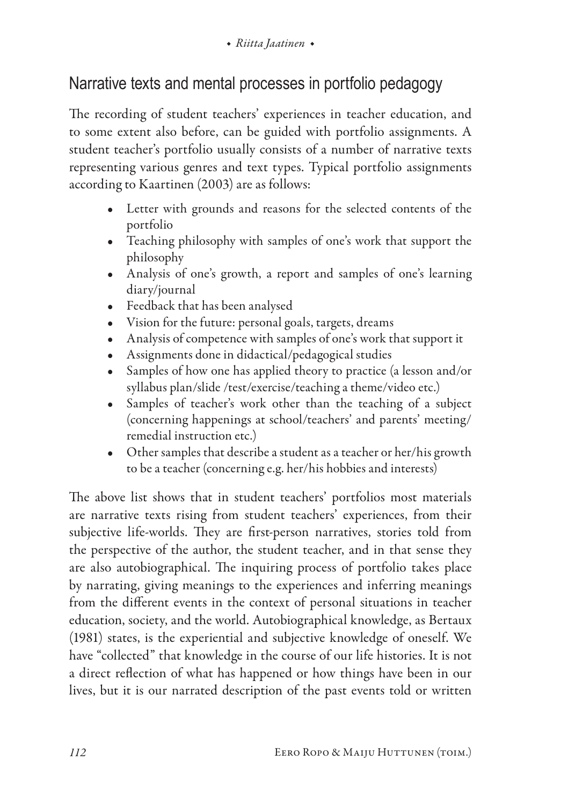# Narrative texts and mental processes in portfolio pedagogy

The recording of student teachers' experiences in teacher education, and to some extent also before, can be guided with portfolio assignments. A student teacher's portfolio usually consists of a number of narrative texts representing various genres and text types. Typical portfolio assignments according to Kaartinen (2003) are as follows:

- Letter with grounds and reasons for the selected contents of the portfolio
- Teaching philosophy with samples of one's work that support the philosophy
- Analysis of one's growth, a report and samples of one's learning diary/journal
- Feedback that has been analysed
- Vision for the future: personal goals, targets, dreams
- Analysis of competence with samples of one's work that support it
- Assignments done in didactical/pedagogical studies
- Samples of how one has applied theory to practice (a lesson and/or syllabus plan/slide /test/exercise/teaching a theme/video etc.)
- Samples of teacher's work other than the teaching of a subject (concerning happenings at school/teachers' and parents' meeting/ remedial instruction etc.)
- Other samples that describe a student as a teacher or her/his growth to be a teacher (concerning e.g. her/his hobbies and interests)

The above list shows that in student teachers' portfolios most materials are narrative texts rising from student teachers' experiences, from their subjective life-worlds. They are first-person narratives, stories told from the perspective of the author, the student teacher, and in that sense they are also autobiographical. The inquiring process of portfolio takes place by narrating, giving meanings to the experiences and inferring meanings from the different events in the context of personal situations in teacher education, society, and the world. Autobiographical knowledge, as Bertaux (1981) states, is the experiential and subjective knowledge of oneself. We have "collected" that knowledge in the course of our life histories. It is not a direct reflection of what has happened or how things have been in our lives, but it is our narrated description of the past events told or written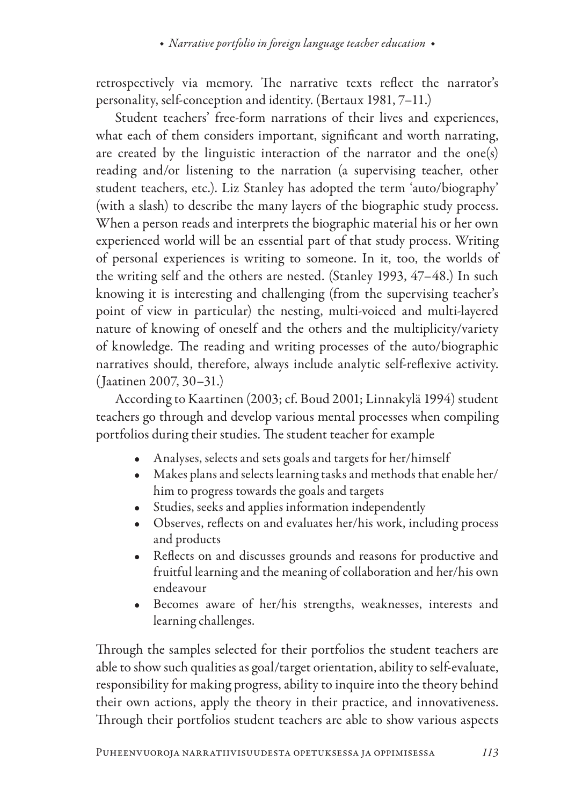retrospectively via memory. The narrative texts reflect the narrator's personality, self-conception and identity. (Bertaux 1981, 7–11.)

Student teachers' free-form narrations of their lives and experiences, what each of them considers important, significant and worth narrating, are created by the linguistic interaction of the narrator and the one(s) reading and/or listening to the narration (a supervising teacher, other student teachers, etc.). Liz Stanley has adopted the term 'auto/biography' (with a slash) to describe the many layers of the biographic study process. When a person reads and interprets the biographic material his or her own experienced world will be an essential part of that study process. Writing of personal experiences is writing to someone. In it, too, the worlds of the writing self and the others are nested. (Stanley 1993, 47–48.) In such knowing it is interesting and challenging (from the supervising teacher's point of view in particular) the nesting, multi-voiced and multi-layered nature of knowing of oneself and the others and the multiplicity/variety of knowledge. The reading and writing processes of the auto/biographic narratives should, therefore, always include analytic self-reflexive activity. (Jaatinen 2007, 30–31.)

According to Kaartinen (2003; cf. Boud 2001; Linnakylä 1994) student teachers go through and develop various mental processes when compiling portfolios during their studies. The student teacher for example

- Analyses, selects and sets goals and targets for her/himself
- Makes plans and selects learning tasks and methods that enable her/ him to progress towards the goals and targets
- Studies, seeks and applies information independently
- Observes, reflects on and evaluates her/his work, including process and products
- Reflects on and discusses grounds and reasons for productive and fruitful learning and the meaning of collaboration and her/his own endeavour
- Becomes aware of her/his strengths, weaknesses, interests and learning challenges.

Through the samples selected for their portfolios the student teachers are able to show such qualities as goal/target orientation, ability to self-evaluate, responsibility for making progress, ability to inquire into the theory behind their own actions, apply the theory in their practice, and innovativeness. Through their portfolios student teachers are able to show various aspects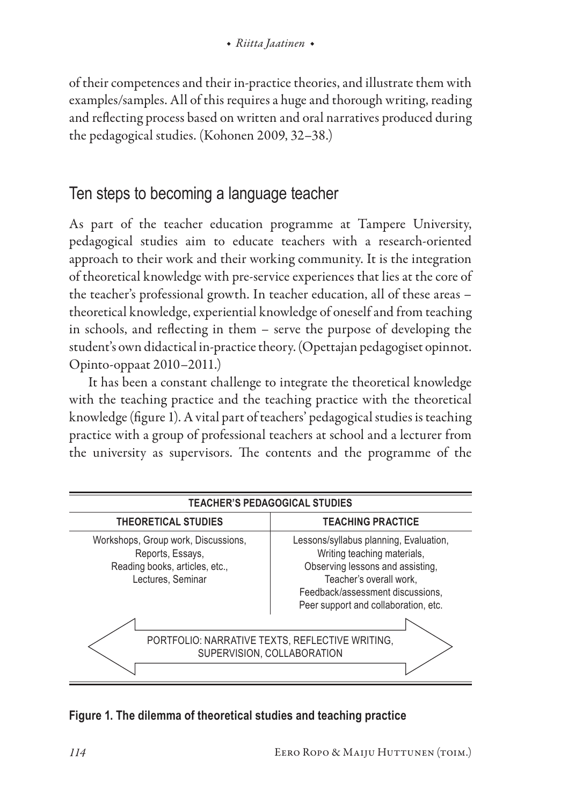of their competences and their in-practice theories, and illustrate them with examples/samples. All of this requires a huge and thorough writing, reading and reflecting process based on written and oral narratives produced during the pedagogical studies. (Kohonen 2009, 32–38.)

# Ten steps to becoming a language teacher

As part of the teacher education programme at Tampere University, pedagogical studies aim to educate teachers with a research-oriented approach to their work and their working community. It is the integration of theoretical knowledge with pre-service experiences that lies at the core of the teacher's professional growth. In teacher education, all of these areas – theoretical knowledge, experiential knowledge of oneself and from teaching in schools, and reflecting in them – serve the purpose of developing the student's own didactical in-practice theory. (Opettajan pedagogiset opinnot. Opinto-oppaat 2010–2011.)

It has been a constant challenge to integrate the theoretical knowledge with the teaching practice and the teaching practice with the theoretical knowledge (figure 1). A vital part of teachers' pedagogical studies is teaching practice with a group of professional teachers at school and a lecturer from the university as supervisors. The contents and the programme of the

| <b>TEACHER'S PEDAGOGICAL STUDIES</b>                                                                           |                                                                                                                                                                                                                  |  |  |  |
|----------------------------------------------------------------------------------------------------------------|------------------------------------------------------------------------------------------------------------------------------------------------------------------------------------------------------------------|--|--|--|
| <b>THEORETICAL STUDIES</b>                                                                                     | <b>TEACHING PRACTICE</b>                                                                                                                                                                                         |  |  |  |
| Workshops, Group work, Discussions,<br>Reports, Essays,<br>Reading books, articles, etc.,<br>Lectures, Seminar | Lessons/syllabus planning, Evaluation,<br>Writing teaching materials,<br>Observing lessons and assisting,<br>Teacher's overall work,<br>Feedback/assessment discussions.<br>Peer support and collaboration, etc. |  |  |  |
| PORTFOLIO: NARRATIVE TEXTS, REFLECTIVE WRITING,                                                                |                                                                                                                                                                                                                  |  |  |  |
|                                                                                                                | SUPERVISION, COLLABORATION                                                                                                                                                                                       |  |  |  |
|                                                                                                                |                                                                                                                                                                                                                  |  |  |  |

#### **Figure 1. The dilemma of theoretical studies and teaching practice**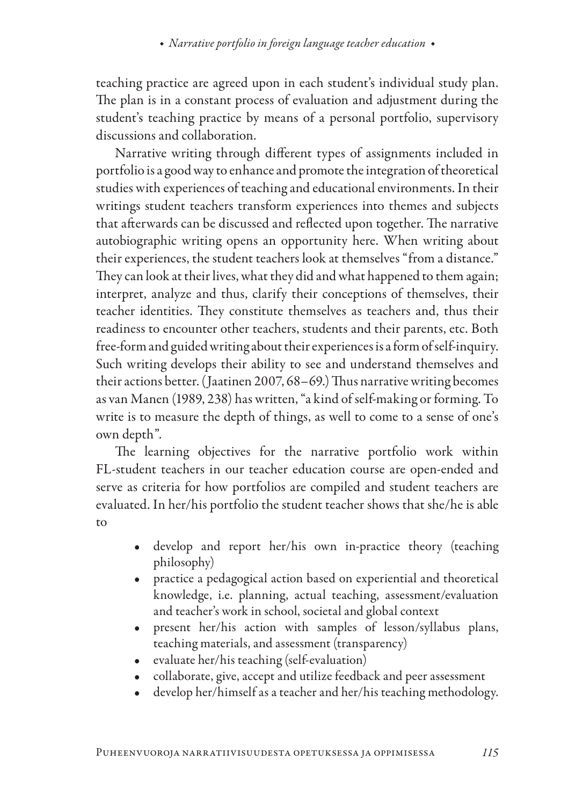teaching practice are agreed upon in each student's individual study plan. The plan is in a constant process of evaluation and adjustment during the student's teaching practice by means of a personal portfolio, supervisory discussions and collaboration.

Narrative writing through different types of assignments included in portfolio is a good way to enhance and promote the integration of theoretical studies with experiences of teaching and educational environments. In their writings student teachers transform experiences into themes and subjects that afterwards can be discussed and reflected upon together. The narrative autobiographic writing opens an opportunity here. When writing about their experiences, the student teachers look at themselves "from a distance." They can look at their lives, what they did and what happened to them again; interpret, analyze and thus, clarify their conceptions of themselves, their teacher identities. They constitute themselves as teachers and, thus their readiness to encounter other teachers, students and their parents, etc. Both free-form and guided writing about their experiences is a form of self-inquiry. Such writing develops their ability to see and understand themselves and their actions better. (Jaatinen 2007, 68–69.) Thus narrative writing becomes as van Manen (1989, 238) has written, "a kind of self-making or forming. To write is to measure the depth of things, as well to come to a sense of one's own depth".

The learning objectives for the narrative portfolio work within FL-student teachers in our teacher education course are open-ended and serve as criteria for how portfolios are compiled and student teachers are evaluated. In her/his portfolio the student teacher shows that she/he is able to

- develop and report her/his own in-practice theory (teaching philosophy)
- practice a pedagogical action based on experiential and theoretical knowledge, i.e. planning, actual teaching, assessment/evaluation and teacher's work in school, societal and global context
- present her/his action with samples of lesson/syllabus plans, teaching materials, and assessment (transparency)
- evaluate her/his teaching (self-evaluation)
- collaborate, give, accept and utilize feedback and peer assessment
- develop her/himself as a teacher and her/his teaching methodology.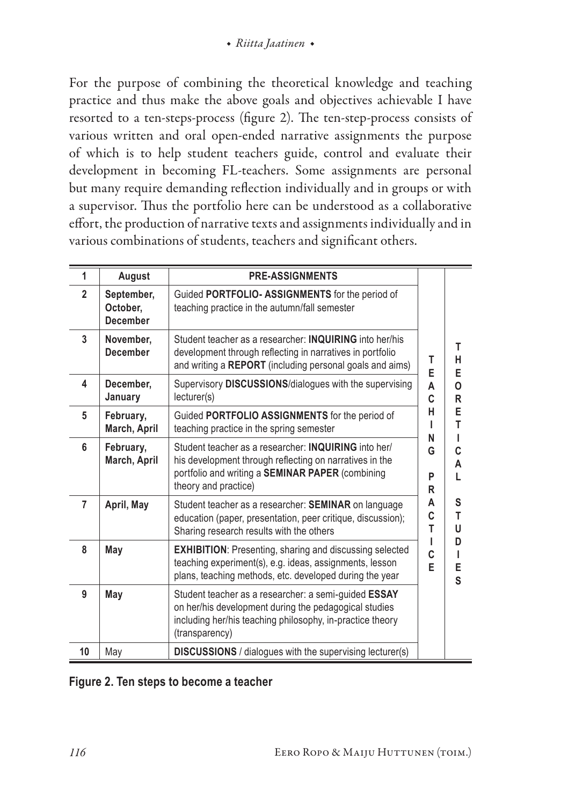For the purpose of combining the theoretical knowledge and teaching practice and thus make the above goals and objectives achievable I have resorted to a ten-steps-process (figure 2). The ten-step-process consists of various written and oral open-ended narrative assignments the purpose of which is to help student teachers guide, control and evaluate their development in becoming FL-teachers. Some assignments are personal but many require demanding reflection individually and in groups or with a supervisor. Thus the portfolio here can be understood as a collaborative effort, the production of narrative texts and assignments individually and in various combinations of students, teachers and significant others.

| 1              | August                             | <b>PRE-ASSIGNMENTS</b>                                                                                                                                                                             |             |                  |
|----------------|------------------------------------|----------------------------------------------------------------------------------------------------------------------------------------------------------------------------------------------------|-------------|------------------|
| $\overline{2}$ | September,<br>October,<br>December | Guided PORTFOLIO- ASSIGNMENTS for the period of<br>teaching practice in the autumn/fall semester                                                                                                   |             |                  |
| 3              | November,<br><b>December</b>       | Student teacher as a researcher: <b>INQUIRING</b> into her/his<br>development through reflecting in narratives in portfolio<br>and writing a REPORT (including personal goals and aims)            | T<br>E      | т<br>н<br>E      |
| 4              | December.<br>January               | Supervisory DISCUSSIONS/dialogues with the supervising<br>lecturer(s)                                                                                                                              | A<br>C      | o<br>R           |
| 5              | February,<br>March, April          | Guided PORTFOLIO ASSIGNMENTS for the period of<br>teaching practice in the spring semester                                                                                                         | н<br>ı<br>N | E<br>T<br>ı      |
| 6              | February,<br>March, April          | Student teacher as a researcher: <b>INQUIRING</b> into her/<br>his development through reflecting on narratives in the<br>portfolio and writing a SEMINAR PAPER (combining<br>theory and practice) | G<br>P<br>R | C<br>А<br>L      |
| 7              | April, May                         | Student teacher as a researcher: SEMINAR on language<br>education (paper, presentation, peer critique, discussion);<br>Sharing research results with the others                                    | А<br>C<br>т | S<br>T<br>U      |
| 8              | May                                | <b>EXHIBITION: Presenting, sharing and discussing selected</b><br>teaching experiment(s), e.g. ideas, assignments, lesson<br>plans, teaching methods, etc. developed during the year               | ı<br>C<br>E | D<br>ı<br>E<br>S |
| 9              | May                                | Student teacher as a researcher: a semi-guided ESSAY<br>on her/his development during the pedagogical studies<br>including her/his teaching philosophy, in-practice theory<br>(transparency)       |             |                  |
| 10             | May                                | <b>DISCUSSIONS</b> / dialogues with the supervising lecturer(s)                                                                                                                                    |             |                  |

#### **Figure 2. Ten steps to become a teacher**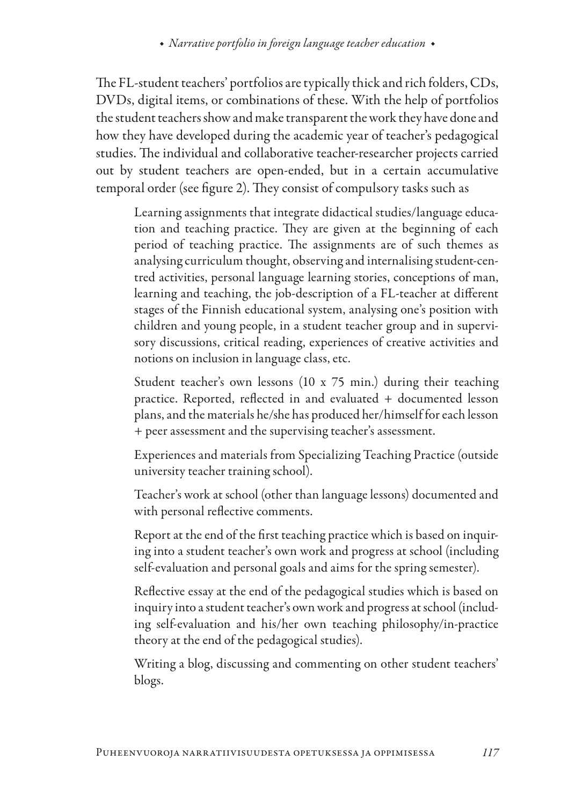The FL-student teachers' portfolios are typically thick and rich folders, CDs, DVDs, digital items, or combinations of these. With the help of portfolios the student teachers show and make transparent the work they have done and how they have developed during the academic year of teacher's pedagogical studies. The individual and collaborative teacher-researcher projects carried out by student teachers are open-ended, but in a certain accumulative temporal order (see figure 2). They consist of compulsory tasks such as

Learning assignments that integrate didactical studies/language education and teaching practice. They are given at the beginning of each period of teaching practice. The assignments are of such themes as analysing curriculum thought, observing and internalising student-centred activities, personal language learning stories, conceptions of man, learning and teaching, the job-description of a FL-teacher at different stages of the Finnish educational system, analysing one's position with children and young people, in a student teacher group and in supervisory discussions, critical reading, experiences of creative activities and notions on inclusion in language class, etc.

Student teacher's own lessons (10 x 75 min.) during their teaching practice. Reported, reflected in and evaluated + documented lesson plans, and the materials he/she has produced her/himself for each lesson + peer assessment and the supervising teacher's assessment.

Experiences and materials from Specializing Teaching Practice (outside university teacher training school).

Teacher's work at school (other than language lessons) documented and with personal reflective comments.

Report at the end of the first teaching practice which is based on inquiring into a student teacher's own work and progress at school (including self-evaluation and personal goals and aims for the spring semester).

Reflective essay at the end of the pedagogical studies which is based on inquiry into a student teacher's own work and progress at school (including self-evaluation and his/her own teaching philosophy/in-practice theory at the end of the pedagogical studies).

Writing a blog, discussing and commenting on other student teachers' blogs.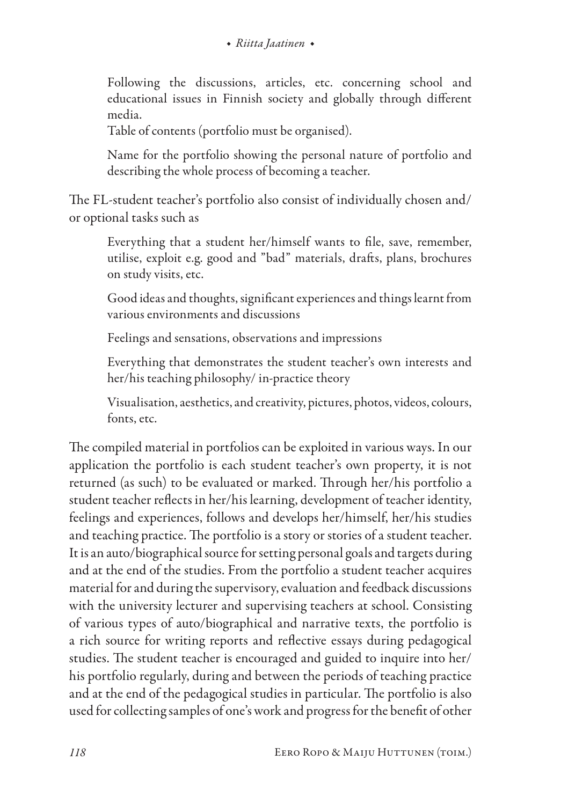Following the discussions, articles, etc. concerning school and educational issues in Finnish society and globally through different media.

Table of contents (portfolio must be organised).

Name for the portfolio showing the personal nature of portfolio and describing the whole process of becoming a teacher.

The FL-student teacher's portfolio also consist of individually chosen and/ or optional tasks such as

Everything that a student her/himself wants to file, save, remember, utilise, exploit e.g. good and "bad" materials, drafts, plans, brochures on study visits, etc.

Good ideas and thoughts, significant experiences and things learnt from various environments and discussions

Feelings and sensations, observations and impressions

Everything that demonstrates the student teacher's own interests and her/his teaching philosophy/ in-practice theory

Visualisation, aesthetics, and creativity, pictures, photos, videos, colours, fonts, etc.

The compiled material in portfolios can be exploited in various ways. In our application the portfolio is each student teacher's own property, it is not returned (as such) to be evaluated or marked. Through her/his portfolio a student teacher reflects in her/his learning, development of teacher identity, feelings and experiences, follows and develops her/himself, her/his studies and teaching practice. The portfolio is a story or stories of a student teacher. It is an auto/biographical source for setting personal goals and targets during and at the end of the studies. From the portfolio a student teacher acquires material for and during the supervisory, evaluation and feedback discussions with the university lecturer and supervising teachers at school. Consisting of various types of auto/biographical and narrative texts, the portfolio is a rich source for writing reports and reflective essays during pedagogical studies. The student teacher is encouraged and guided to inquire into her/ his portfolio regularly, during and between the periods of teaching practice and at the end of the pedagogical studies in particular. The portfolio is also used for collecting samples of one's work and progress for the benefit of other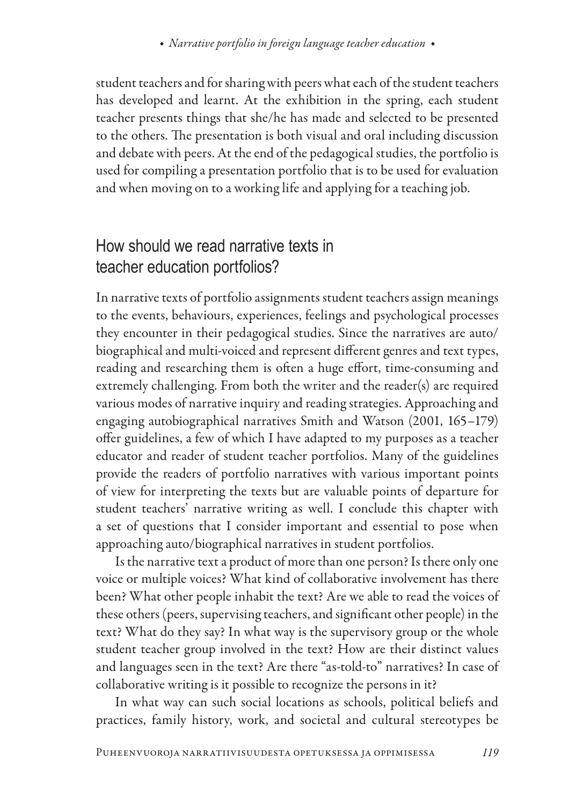student teachers and for sharing with peers what each of the student teachers has developed and learnt. At the exhibition in the spring, each student teacher presents things that she/he has made and selected to be presented to the others. The presentation is both visual and oral including discussion and debate with peers. At the end of the pedagogical studies, the portfolio is used for compiling a presentation portfolio that is to be used for evaluation and when moving on to a working life and applying for a teaching job.

# How should we read narrative texts in teacher education portfolios?

In narrative texts of portfolio assignments student teachers assign meanings to the events, behaviours, experiences, feelings and psychological processes they encounter in their pedagogical studies. Since the narratives are auto/ biographical and multi-voiced and represent different genres and text types, reading and researching them is often a huge effort, time-consuming and extremely challenging. From both the writer and the reader(s) are required various modes of narrative inquiry and reading strategies. Approaching and engaging autobiographical narratives Smith and Watson (2001, 165–179) offer guidelines, a few of which I have adapted to my purposes as a teacher educator and reader of student teacher portfolios. Many of the guidelines provide the readers of portfolio narratives with various important points of view for interpreting the texts but are valuable points of departure for student teachers' narrative writing as well. I conclude this chapter with a set of questions that I consider important and essential to pose when approaching auto/biographical narratives in student portfolios.

Is the narrative text a product of more than one person? Is there only one voice or multiple voices? What kind of collaborative involvement has there been? What other people inhabit the text? Are we able to read the voices of these others (peers, supervising teachers, and significant other people) in the text? What do they say? In what way is the supervisory group or the whole student teacher group involved in the text? How are their distinct values and languages seen in the text? Are there "as-told-to" narratives? In case of collaborative writing is it possible to recognize the persons in it?

In what way can such social locations as schools, political beliefs and practices, family history, work, and societal and cultural stereotypes be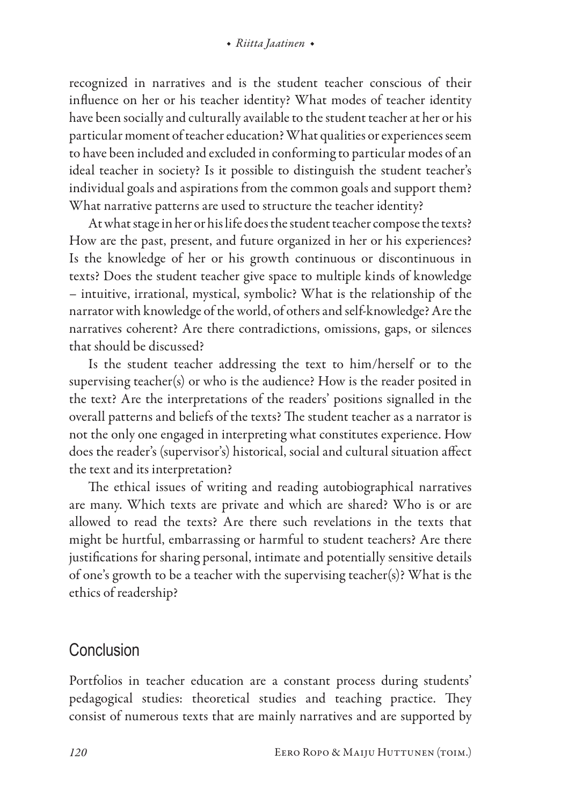recognized in narratives and is the student teacher conscious of their influence on her or his teacher identity? What modes of teacher identity have been socially and culturally available to the student teacher at her or his particular moment of teacher education? What qualities or experiences seem to have been included and excluded in conforming to particular modes of an ideal teacher in society? Is it possible to distinguish the student teacher's individual goals and aspirations from the common goals and support them? What narrative patterns are used to structure the teacher identity?

At what stage in her or his life does the student teacher compose the texts? How are the past, present, and future organized in her or his experiences? Is the knowledge of her or his growth continuous or discontinuous in texts? Does the student teacher give space to multiple kinds of knowledge – intuitive, irrational, mystical, symbolic? What is the relationship of the narrator with knowledge of the world, of others and self-knowledge? Are the narratives coherent? Are there contradictions, omissions, gaps, or silences that should be discussed?

Is the student teacher addressing the text to him/herself or to the supervising teacher(s) or who is the audience? How is the reader posited in the text? Are the interpretations of the readers' positions signalled in the overall patterns and beliefs of the texts? The student teacher as a narrator is not the only one engaged in interpreting what constitutes experience. How does the reader's (supervisor's) historical, social and cultural situation affect the text and its interpretation?

The ethical issues of writing and reading autobiographical narratives are many. Which texts are private and which are shared? Who is or are allowed to read the texts? Are there such revelations in the texts that might be hurtful, embarrassing or harmful to student teachers? Are there justifications for sharing personal, intimate and potentially sensitive details of one's growth to be a teacher with the supervising teacher(s)? What is the ethics of readership?

### Conclusion

Portfolios in teacher education are a constant process during students' pedagogical studies: theoretical studies and teaching practice. They consist of numerous texts that are mainly narratives and are supported by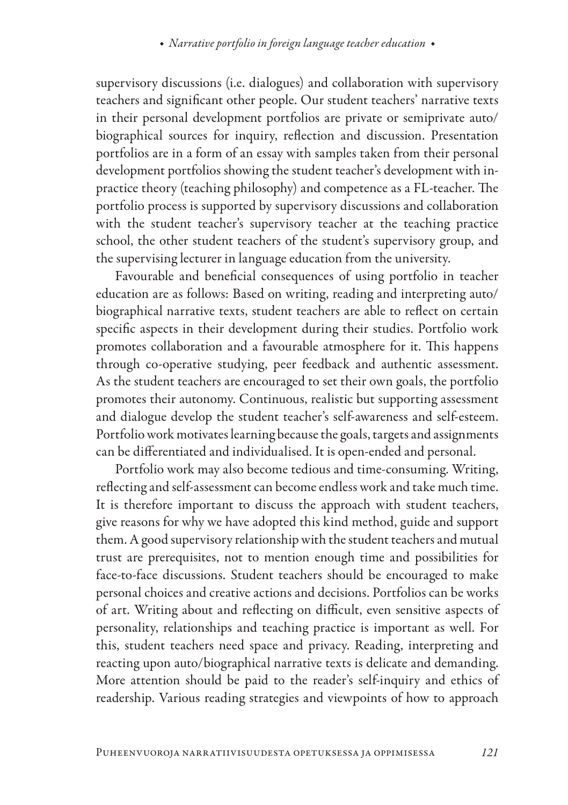supervisory discussions (i.e. dialogues) and collaboration with supervisory teachers and significant other people. Our student teachers' narrative texts in their personal development portfolios are private or semiprivate auto/ biographical sources for inquiry, reflection and discussion. Presentation portfolios are in a form of an essay with samples taken from their personal development portfolios showing the student teacher's development with inpractice theory (teaching philosophy) and competence as a FL-teacher. The portfolio process is supported by supervisory discussions and collaboration with the student teacher's supervisory teacher at the teaching practice school, the other student teachers of the student's supervisory group, and the supervising lecturer in language education from the university.

Favourable and beneficial consequences of using portfolio in teacher education are as follows: Based on writing, reading and interpreting auto/ biographical narrative texts, student teachers are able to reflect on certain specific aspects in their development during their studies. Portfolio work promotes collaboration and a favourable atmosphere for it. This happens through co-operative studying, peer feedback and authentic assessment. As the student teachers are encouraged to set their own goals, the portfolio promotes their autonomy. Continuous, realistic but supporting assessment and dialogue develop the student teacher's self-awareness and self-esteem. Portfolio work motivates learning because the goals, targets and assignments can be differentiated and individualised. It is open-ended and personal.

Portfolio work may also become tedious and time-consuming. Writing, reflecting and self-assessment can become endless work and take much time. It is therefore important to discuss the approach with student teachers, give reasons for why we have adopted this kind method, guide and support them. A good supervisory relationship with the student teachers and mutual trust are prerequisites, not to mention enough time and possibilities for face-to-face discussions. Student teachers should be encouraged to make personal choices and creative actions and decisions. Portfolios can be works of art. Writing about and reflecting on difficult, even sensitive aspects of personality, relationships and teaching practice is important as well. For this, student teachers need space and privacy. Reading, interpreting and reacting upon auto/biographical narrative texts is delicate and demanding. More attention should be paid to the reader's self-inquiry and ethics of readership. Various reading strategies and viewpoints of how to approach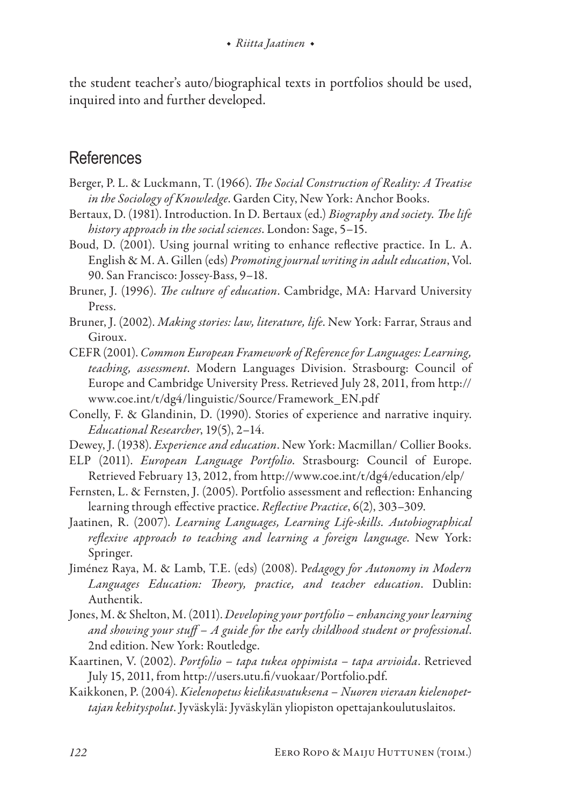the student teacher's auto/biographical texts in portfolios should be used, inquired into and further developed.

### **References**

- Berger, P. L. & Luckmann, T. (1966). *The Social Construction of Reality: A Treatise in the Sociology of Knowledge*. Garden City, New York: Anchor Books.
- Bertaux, D. (1981). Introduction. In D. Bertaux (ed.) *Biography and society. The life history approach in the social sciences*. London: Sage, 5–15.
- Boud, D. (2001). Using journal writing to enhance reflective practice. In L. A. English & M. A. Gillen (eds) *Promoting journal writing in adult education*, Vol. 90. San Francisco: Jossey-Bass, 9–18.
- Bruner, J. (1996). *The culture of education*. Cambridge, MA: Harvard University Press.
- Bruner, J. (2002). *Making stories: law, literature, life*. New York: Farrar, Straus and Giroux.
- CEFR (2001). *[Common European Framework of Reference for Languages: Learning,](http://www.coe.int/t/dg4/linguistic/Manuel1_EN.asp#P15_1111)  [teaching, assessment](http://www.coe.int/t/dg4/linguistic/Manuel1_EN.asp#P15_1111)*. Modern Languages Division. Strasbourg: Council of Europe and Cambridge University Press. Retrieved July 28, 2011, from http:// www.coe.int/t/dg4/linguistic/Source/Framework\_EN.pdf
- Conelly, F. & Glandinin, D. (1990). Stories of experience and narrative inquiry. *Educational Researcher*, 19(5), 2–14.
- Dewey, J. (1938). *Experience and education*. New York: Macmillan/ Collier Books.
- ELP (2011). *European Language Portfolio*. Strasbourg: Council of Europe. Retrieved February 13, 2012, from http://www.coe.int/t/dg4/education/elp/
- Fernsten, L. & Fernsten, J. (2005). Portfolio assessment and reflection: Enhancing learning through effective practice. *Reflective Practice*, 6(2), 303–309.
- Jaatinen, R. (2007). *Learning Languages, Learning Life-skills. Autobiographical reflexive approach to teaching and learning a foreign language*. New York: Springer.
- Jiménez Raya, M. & Lamb, T.E. (eds) (2008). P*edagogy for Autonomy in Modern Languages Education: Theory, practice, and teacher education*. Dublin: Authentik.
- Jones, M. & Shelton, M. (2011). *Developing your portfolio enhancing your learning and showing your stuff – A guide for the early childhood student or professional*. 2nd edition. New York: Routledge.
- Kaartinen, V. (2002). *Portfolio tapa tukea oppimista tapa arvioida*. Retrieved July 15, 2011, from http://users.utu.fi/vuokaar/Portfolio.pdf.
- Kaikkonen, P. (2004). *Kielenopetus kielikasvatuksena Nuoren vieraan kielenopet tajan kehityspolut*. Jyväskylä: Jyväskylän yliopiston opettajankoulutuslaitos.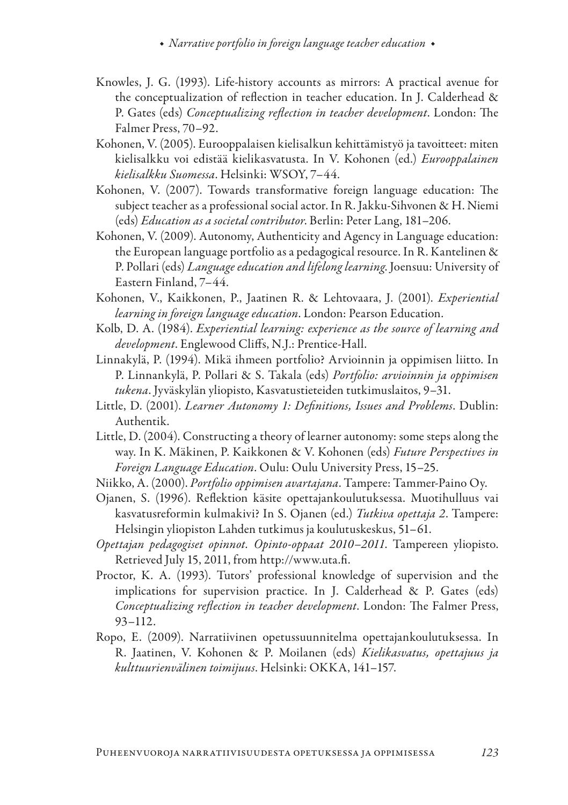- Knowles, J. G. (1993). Life-history accounts as mirrors: A practical avenue for the conceptualization of reflection in teacher education. In J. Calderhead & P. Gates (eds) *Conceptualizing reflection in teacher development*. London: The Falmer Press, 70–92.
- Kohonen, V. (2005). Eurooppalaisen kielisalkun kehittämistyö ja tavoitteet: miten kielisalkku voi edistää kielikasvatusta. In V. Kohonen (ed.) *Eurooppalainen kielisalkku Suomessa*. Helsinki: WSOY, 7–44.
- Kohonen, V. (2007). Towards transformative foreign language education: The subject teacher as a professional social actor. In R. Jakku-Sihvonen & H. Niemi (eds) *Education as a societal contributor*. Berlin: Peter Lang, 181–206.
- Kohonen, V. (2009). Autonomy, Authenticity and Agency in Language education: the European language portfolio as a pedagogical resource. In R. Kantelinen & P. Pollari (eds) *Language education and lifelong learning*. Joensuu: University of Eastern Finland, 7–44.
- Kohonen, V., Kaikkonen, P., Jaatinen R. & Lehtovaara, J. (2001). *Experiential learning in foreign language education*. London: Pearson Education.
- [Kolb, D. A.](https://tamcat.linneanet.fi/cgi-bin/Pwebrecon.cgi?SC=Author&SEQ=20110714132244&PID=BO-cBAENcez4AhInrOly3WZwdm18&SA=Kolb,+David+A.) (1984). *[Experiential learning: experience as the source of learning and](https://tamcat.linneanet.fi/cgi-bin/Pwebrecon.cgi?SC=Title&SEQ=20110714132244&PID=BO-cBAENcez4AhInrOly3WZwdm18&SA=Experiential+learning+:+experience+as+the+source+of+learning+and+development+/)  [development](https://tamcat.linneanet.fi/cgi-bin/Pwebrecon.cgi?SC=Title&SEQ=20110714132244&PID=BO-cBAENcez4AhInrOly3WZwdm18&SA=Experiential+learning+:+experience+as+the+source+of+learning+and+development+/)*. Englewood Cliffs, N.J.: Prentice-Hall.
- Linnakylä, P. (1994). Mikä ihmeen portfolio? Arvioinnin ja oppimisen liitto. In P. Linnankylä, P. Pollari & S. Takala (eds) *Portfolio: arvioinnin ja oppimisen tukena*. Jyväskylän yliopisto, Kasvatustieteiden tutkimuslaitos, 9–31.
- Little, D. (2001). *Learner Autonomy 1: Definitions, Issues and Problems*. Dublin: Authentik.
- Little, D. (2004). Constructing a theory of learner autonomy: some steps along the way. In K. Mäkinen, P. Kaikkonen & V. Kohonen (eds) *Future Perspectives in Foreign Language Education*. Oulu: Oulu University Press, 15–25.
- Niikko, A. (2000). *Portfolio oppimisen avartajana*. Tampere: Tammer-Paino Oy.

Ojanen, S. (1996). Reflektion käsite opettajankoulutuksessa. Muotihulluus vai kasvatusreformin kulmakivi? In S. Ojanen (ed.) *Tutkiva opettaja 2*. Tampere: Helsingin yliopiston Lahden tutkimus ja koulutuskeskus, 51–61.

- *Opettajan pedagogiset opinnot. Opinto-oppaat 2010–2011*. Tampereen yliopisto. Retrieved July 15, 2011, from http://[www.uta.fi](http://www.uta.fi).
- Proctor, K. A. (1993). Tutors' professional knowledge of supervision and the implications for supervision practice. In J. Calderhead & P. Gates (eds) *Conceptualizing reflection in teacher development*. London: The Falmer Press, 93–112.
- Ropo, E. (2009). Narratiivinen opetussuunnitelma opettajankoulutuksessa. In R. Jaatinen, V. Kohonen & P. Moilanen (eds) *Kielikasvatus, opettajuus ja kulttuurienvälinen toimijuus*. Helsinki: OKKA, 141–157.